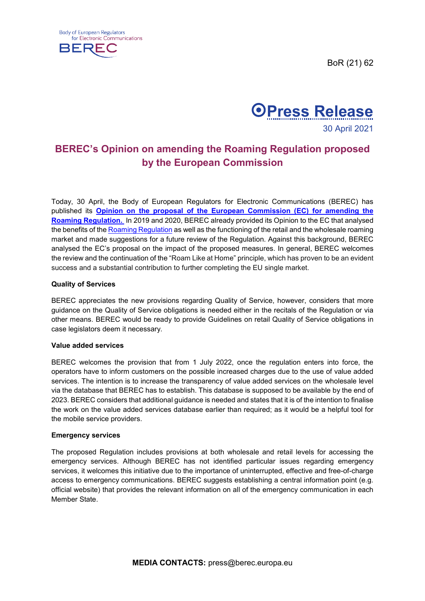BoR (21) 62





# **BEREC's Opinion on amending the Roaming Regulation proposed by the European Commission**

Today, 30 April, the Body of European Regulators for Electronic Communications (BEREC) has published its **[Opinion on the proposal of the European](https://berec.europa.eu/eng/document_register/subject_matter/berec/download/0/9934-berec-opinion-on-the-proposal-of-the-com_0.pdf) Commission (EC) for amending the [Roaming Regulation.](https://berec.europa.eu/eng/document_register/subject_matter/berec/download/0/9934-berec-opinion-on-the-proposal-of-the-com_0.pdf)** In 2019 and 2020, BEREC already provided its Opinion to the EC that analysed the benefits of the [Roaming Regulation](https://eur-lex.europa.eu/legal-content/EN/ALL/?uri=CELEX%3A32012R0531) as well as the functioning of the retail and the wholesale roaming market and made suggestions for a future review of the Regulation. Against this background, BEREC analysed the EC's proposal on the impact of the proposed measures. In general, BEREC welcomes the review and the continuation of the "Roam Like at Home" principle, which has proven to be an evident success and a substantial contribution to further completing the EU single market.

## **Quality of Services**

BEREC appreciates the new provisions regarding Quality of Service, however, considers that more guidance on the Quality of Service obligations is needed either in the recitals of the Regulation or via other means. BEREC would be ready to provide Guidelines on retail Quality of Service obligations in case legislators deem it necessary.

#### **Value added services**

BEREC welcomes the provision that from 1 July 2022, once the regulation enters into force, the operators have to inform customers on the possible increased charges due to the use of value added services. The intention is to increase the transparency of value added services on the wholesale level via the database that BEREC has to establish. This database is supposed to be available by the end of 2023. BEREC considers that additional guidance is needed and states that it is of the intention to finalise the work on the value added services database earlier than required; as it would be a helpful tool for the mobile service providers.

#### **Emergency services**

The proposed Regulation includes provisions at both wholesale and retail levels for accessing the emergency services. Although BEREC has not identified particular issues regarding emergency services, it welcomes this initiative due to the importance of uninterrupted, effective and free-of-charge access to emergency communications. BEREC suggests establishing a central information point (e.g. official website) that provides the relevant information on all of the emergency communication in each Member State.